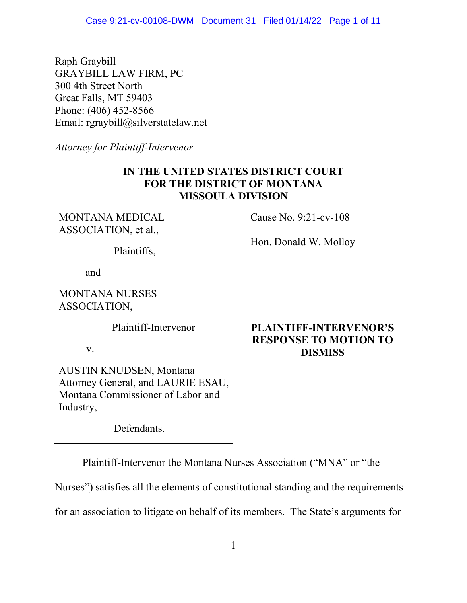Raph Graybill GRAYBILL LAW FIRM, PC 300 4th Street North Great Falls, MT 59403 Phone: (406) 452-8566 Email: rgraybill@silverstatelaw.net

*Attorney for Plaintiff-Intervenor*

## **IN THE UNITED STATES DISTRICT COURT FOR THE DISTRICT OF MONTANA MISSOULA DIVISION**

MONTANA MEDICAL ASSOCIATION, et al.,

Plaintiffs,

and

MONTANA NURSES ASSOCIATION,

Plaintiff-Intervenor

v.

AUSTIN KNUDSEN, Montana Attorney General, and LAURIE ESAU, Montana Commissioner of Labor and Industry,

Defendants.

Cause No. 9:21-cv-108

Hon. Donald W. Molloy

# **PLAINTIFF-INTERVENOR'S RESPONSE TO MOTION TO DISMISS**

Plaintiff-Intervenor the Montana Nurses Association ("MNA" or "the

Nurses") satisfies all the elements of constitutional standing and the requirements

for an association to litigate on behalf of its members. The State's arguments for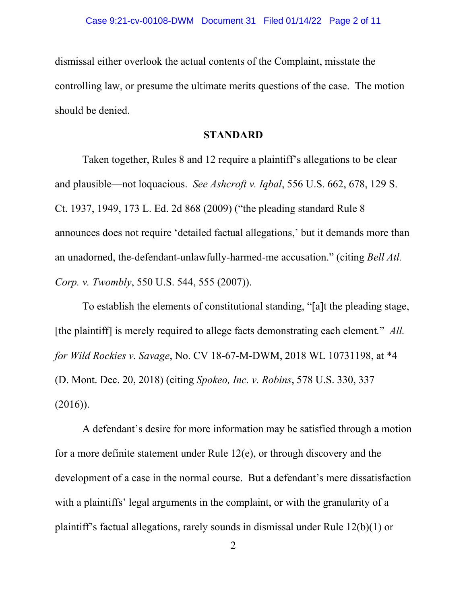dismissal either overlook the actual contents of the Complaint, misstate the controlling law, or presume the ultimate merits questions of the case. The motion should be denied.

#### **STANDARD**

Taken together, Rules 8 and 12 require a plaintiff's allegations to be clear and plausible—not loquacious. *See Ashcroft v. Iqbal*, 556 U.S. 662, 678, 129 S. Ct. 1937, 1949, 173 L. Ed. 2d 868 (2009) ("the pleading standard Rule 8 announces does not require 'detailed factual allegations,' but it demands more than an unadorned, the-defendant-unlawfully-harmed-me accusation." (citing *Bell Atl. Corp. v. Twombly*, 550 U.S. 544, 555 (2007)).

To establish the elements of constitutional standing, "[a]t the pleading stage, [the plaintiff] is merely required to allege facts demonstrating each element*.*" *All. for Wild Rockies v. Savage*, No. CV 18-67-M-DWM, 2018 WL 10731198, at \*4 (D. Mont. Dec. 20, 2018) (citing *Spokeo, Inc. v. Robins*, 578 U.S. 330, 337  $(2016)$ ).

A defendant's desire for more information may be satisfied through a motion for a more definite statement under Rule 12(e), or through discovery and the development of a case in the normal course. But a defendant's mere dissatisfaction with a plaintiffs' legal arguments in the complaint, or with the granularity of a plaintiff's factual allegations, rarely sounds in dismissal under Rule 12(b)(1) or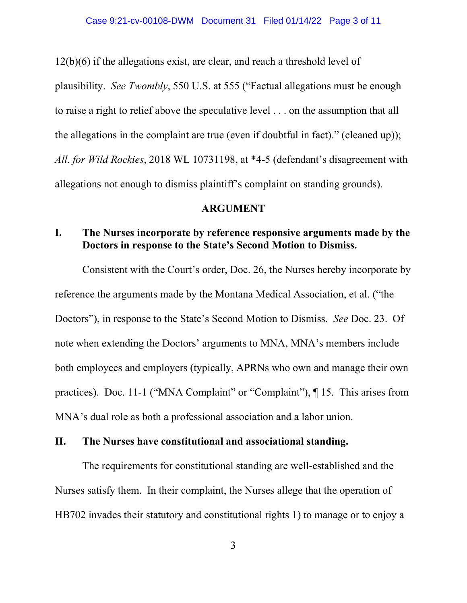12(b)(6) if the allegations exist, are clear, and reach a threshold level of plausibility. *See Twombly*, 550 U.S. at 555 ("Factual allegations must be enough to raise a right to relief above the speculative level . . . on the assumption that all the allegations in the complaint are true (even if doubtful in fact)." (cleaned up)); *All. for Wild Rockies*, 2018 WL 10731198, at \*4-5 (defendant's disagreement with allegations not enough to dismiss plaintiff's complaint on standing grounds).

#### **ARGUMENT**

### **I. The Nurses incorporate by reference responsive arguments made by the Doctors in response to the State's Second Motion to Dismiss.**

Consistent with the Court's order, Doc. 26, the Nurses hereby incorporate by reference the arguments made by the Montana Medical Association, et al. ("the Doctors"), in response to the State's Second Motion to Dismiss. *See* Doc. 23. Of note when extending the Doctors' arguments to MNA, MNA's members include both employees and employers (typically, APRNs who own and manage their own practices). Doc. 11-1 ("MNA Complaint" or "Complaint"), ¶ 15. This arises from MNA's dual role as both a professional association and a labor union.

### **II. The Nurses have constitutional and associational standing.**

The requirements for constitutional standing are well-established and the Nurses satisfy them. In their complaint, the Nurses allege that the operation of HB702 invades their statutory and constitutional rights 1) to manage or to enjoy a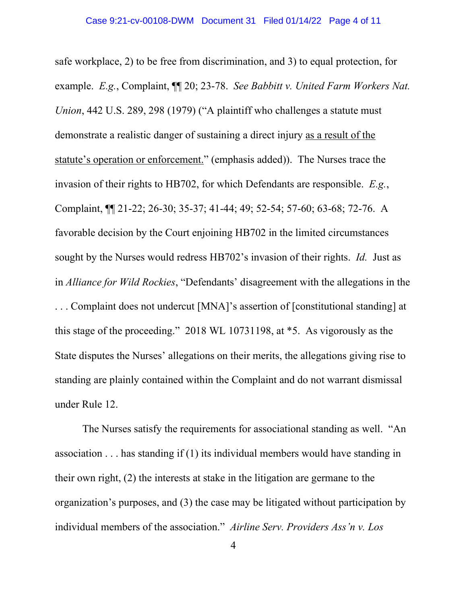safe workplace, 2) to be free from discrimination, and 3) to equal protection, for example. *E.g.*, Complaint, ¶¶ 20; 23-78. *See Babbitt v. United Farm Workers Nat. Union*, 442 U.S. 289, 298 (1979) ("A plaintiff who challenges a statute must demonstrate a realistic danger of sustaining a direct injury as a result of the statute's operation or enforcement." (emphasis added)). The Nurses trace the invasion of their rights to HB702, for which Defendants are responsible. *E.g.*, Complaint, ¶¶ 21-22; 26-30; 35-37; 41-44; 49; 52-54; 57-60; 63-68; 72-76. A favorable decision by the Court enjoining HB702 in the limited circumstances sought by the Nurses would redress HB702's invasion of their rights. *Id.* Just as in *Alliance for Wild Rockies*, "Defendants' disagreement with the allegations in the . . . Complaint does not undercut [MNA]'s assertion of [constitutional standing] at this stage of the proceeding." 2018 WL 10731198, at \*5. As vigorously as the State disputes the Nurses' allegations on their merits, the allegations giving rise to standing are plainly contained within the Complaint and do not warrant dismissal under Rule 12.

The Nurses satisfy the requirements for associational standing as well. "An association . . . has standing if (1) its individual members would have standing in their own right, (2) the interests at stake in the litigation are germane to the organization's purposes, and (3) the case may be litigated without participation by individual members of the association." *Airline Serv. Providers Ass'n v. Los*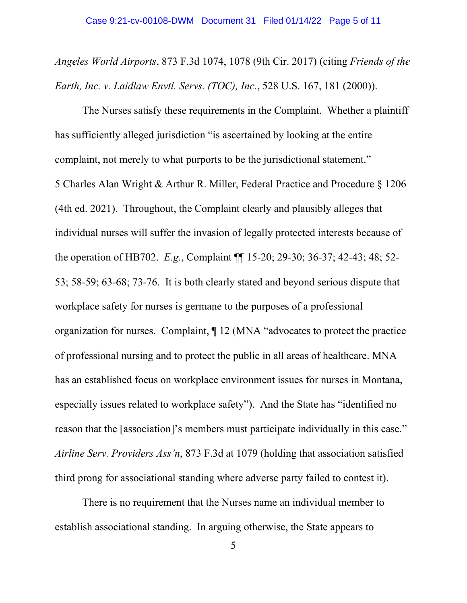*Angeles World Airports*, 873 F.3d 1074, 1078 (9th Cir. 2017) (citing *Friends of the Earth, Inc. v. Laidlaw Envtl. Servs. (TOC), Inc.*, 528 U.S. 167, 181 (2000)).

The Nurses satisfy these requirements in the Complaint. Whether a plaintiff has sufficiently alleged jurisdiction "is ascertained by looking at the entire complaint, not merely to what purports to be the jurisdictional statement." 5 Charles Alan Wright & Arthur R. Miller, Federal Practice and Procedure § 1206 (4th ed. 2021). Throughout, the Complaint clearly and plausibly alleges that individual nurses will suffer the invasion of legally protected interests because of the operation of HB702. *E.g.*, Complaint ¶¶ 15-20; 29-30; 36-37; 42-43; 48; 52- 53; 58-59; 63-68; 73-76. It is both clearly stated and beyond serious dispute that workplace safety for nurses is germane to the purposes of a professional organization for nurses. Complaint, ¶ 12 (MNA "advocates to protect the practice of professional nursing and to protect the public in all areas of healthcare. MNA has an established focus on workplace environment issues for nurses in Montana, especially issues related to workplace safety"). And the State has "identified no reason that the [association]'s members must participate individually in this case." *Airline Serv. Providers Ass'n*, 873 F.3d at 1079 (holding that association satisfied third prong for associational standing where adverse party failed to contest it).

There is no requirement that the Nurses name an individual member to establish associational standing. In arguing otherwise, the State appears to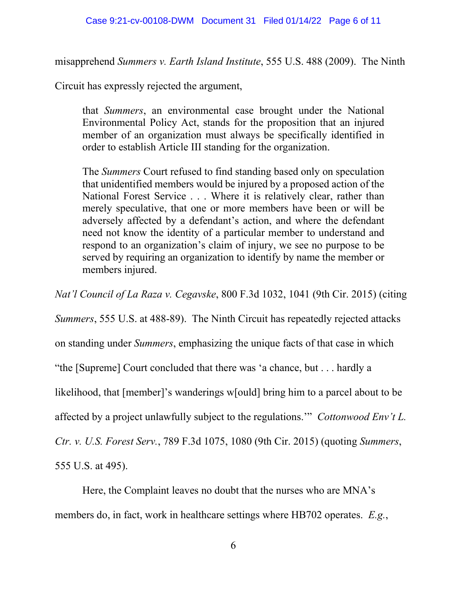misapprehend *Summers v. Earth Island Institute*, 555 U.S. 488 (2009). The Ninth

Circuit has expressly rejected the argument,

that *Summers*, an environmental case brought under the National Environmental Policy Act, stands for the proposition that an injured member of an organization must always be specifically identified in order to establish Article III standing for the organization.

The *Summers* Court refused to find standing based only on speculation that unidentified members would be injured by a proposed action of the National Forest Service . . . Where it is relatively clear, rather than merely speculative, that one or more members have been or will be adversely affected by a defendant's action, and where the defendant need not know the identity of a particular member to understand and respond to an organization's claim of injury, we see no purpose to be served by requiring an organization to identify by name the member or members injured.

*Nat'l Council of La Raza v. Cegavske*, 800 F.3d 1032, 1041 (9th Cir. 2015) (citing

*Summers*, 555 U.S. at 488-89). The Ninth Circuit has repeatedly rejected attacks

on standing under *Summers*, emphasizing the unique facts of that case in which

"the [Supreme] Court concluded that there was 'a chance, but . . . hardly a

likelihood, that [member]'s wanderings w[ould] bring him to a parcel about to be

affected by a project unlawfully subject to the regulations.'" *Cottonwood Env't L.* 

*Ctr. v. U.S. Forest Serv.*, 789 F.3d 1075, 1080 (9th Cir. 2015) (quoting *Summers*,

555 U.S. at 495).

Here, the Complaint leaves no doubt that the nurses who are MNA's members do, in fact, work in healthcare settings where HB702 operates. *E.g.*,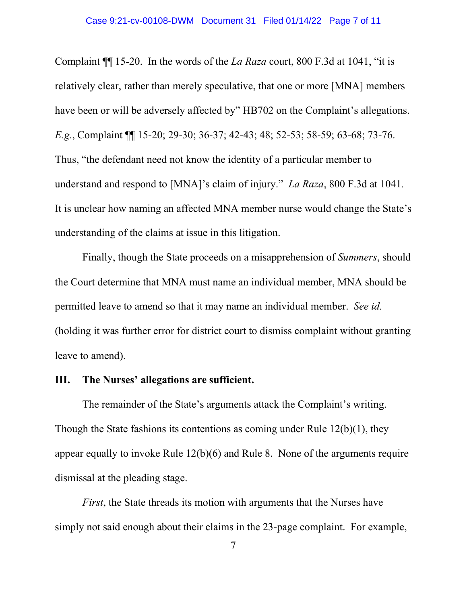Complaint ¶¶ 15-20. In the words of the *La Raza* court, 800 F.3d at 1041, "it is relatively clear, rather than merely speculative, that one or more [MNA] members have been or will be adversely affected by" HB702 on the Complaint's allegations. *E.g.*, Complaint ¶¶ 15-20; 29-30; 36-37; 42-43; 48; 52-53; 58-59; 63-68; 73-76. Thus, "the defendant need not know the identity of a particular member to understand and respond to [MNA]'s claim of injury." *La Raza*, 800 F.3d at 1041*.* It is unclear how naming an affected MNA member nurse would change the State's understanding of the claims at issue in this litigation.

Finally, though the State proceeds on a misapprehension of *Summers*, should the Court determine that MNA must name an individual member, MNA should be permitted leave to amend so that it may name an individual member. *See id.* (holding it was further error for district court to dismiss complaint without granting leave to amend).

### **III. The Nurses' allegations are sufficient.**

The remainder of the State's arguments attack the Complaint's writing. Though the State fashions its contentions as coming under Rule 12(b)(1), they appear equally to invoke Rule 12(b)(6) and Rule 8. None of the arguments require dismissal at the pleading stage.

*First*, the State threads its motion with arguments that the Nurses have simply not said enough about their claims in the 23-page complaint. For example,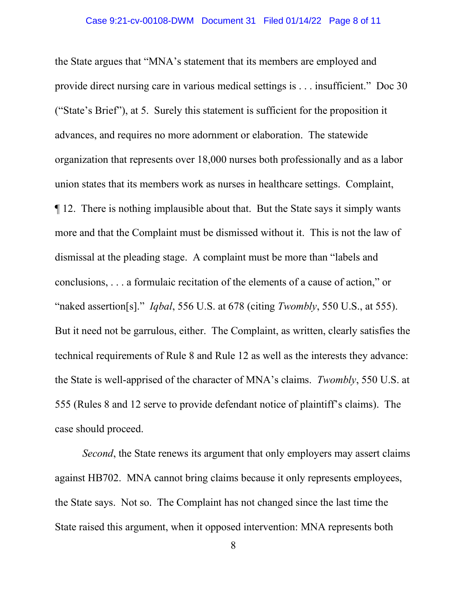the State argues that "MNA's statement that its members are employed and provide direct nursing care in various medical settings is . . . insufficient." Doc 30 ("State's Brief"), at 5. Surely this statement is sufficient for the proposition it advances, and requires no more adornment or elaboration. The statewide organization that represents over 18,000 nurses both professionally and as a labor union states that its members work as nurses in healthcare settings. Complaint, ¶ 12. There is nothing implausible about that. But the State says it simply wants more and that the Complaint must be dismissed without it. This is not the law of dismissal at the pleading stage. A complaint must be more than "labels and conclusions, . . . a formulaic recitation of the elements of a cause of action," or "naked assertion[s]." *Iqbal*, 556 U.S. at 678 (citing *Twombly*, 550 U.S., at 555). But it need not be garrulous, either. The Complaint, as written, clearly satisfies the technical requirements of Rule 8 and Rule 12 as well as the interests they advance: the State is well-apprised of the character of MNA's claims. *Twombly*, 550 U.S. at 555 (Rules 8 and 12 serve to provide defendant notice of plaintiff's claims). The case should proceed.

*Second*, the State renews its argument that only employers may assert claims against HB702. MNA cannot bring claims because it only represents employees, the State says. Not so. The Complaint has not changed since the last time the State raised this argument, when it opposed intervention: MNA represents both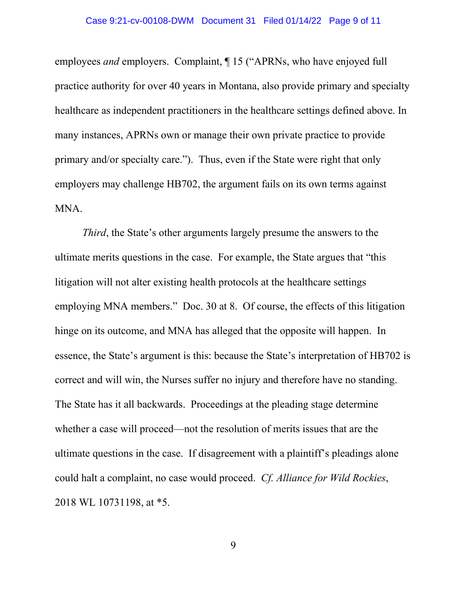employees *and* employers. Complaint, ¶ 15 ("APRNs, who have enjoyed full practice authority for over 40 years in Montana, also provide primary and specialty healthcare as independent practitioners in the healthcare settings defined above. In many instances, APRNs own or manage their own private practice to provide primary and/or specialty care."). Thus, even if the State were right that only employers may challenge HB702, the argument fails on its own terms against MNA.

*Third*, the State's other arguments largely presume the answers to the ultimate merits questions in the case. For example, the State argues that "this litigation will not alter existing health protocols at the healthcare settings employing MNA members." Doc. 30 at 8. Of course, the effects of this litigation hinge on its outcome, and MNA has alleged that the opposite will happen. In essence, the State's argument is this: because the State's interpretation of HB702 is correct and will win, the Nurses suffer no injury and therefore have no standing. The State has it all backwards. Proceedings at the pleading stage determine whether a case will proceed—not the resolution of merits issues that are the ultimate questions in the case. If disagreement with a plaintiff's pleadings alone could halt a complaint, no case would proceed. *Cf. Alliance for Wild Rockies*, 2018 WL 10731198, at \*5.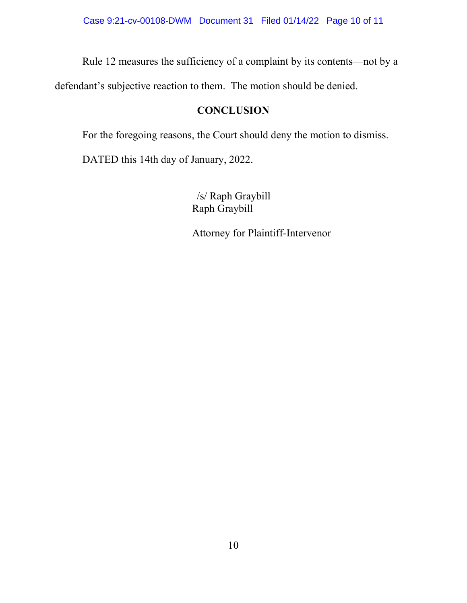Rule 12 measures the sufficiency of a complaint by its contents—not by a

defendant's subjective reaction to them. The motion should be denied.

# **CONCLUSION**

For the foregoing reasons, the Court should deny the motion to dismiss.

DATED this 14th day of January, 2022.

/s/ Raph Graybill Raph Graybill

Attorney for Plaintiff-Intervenor